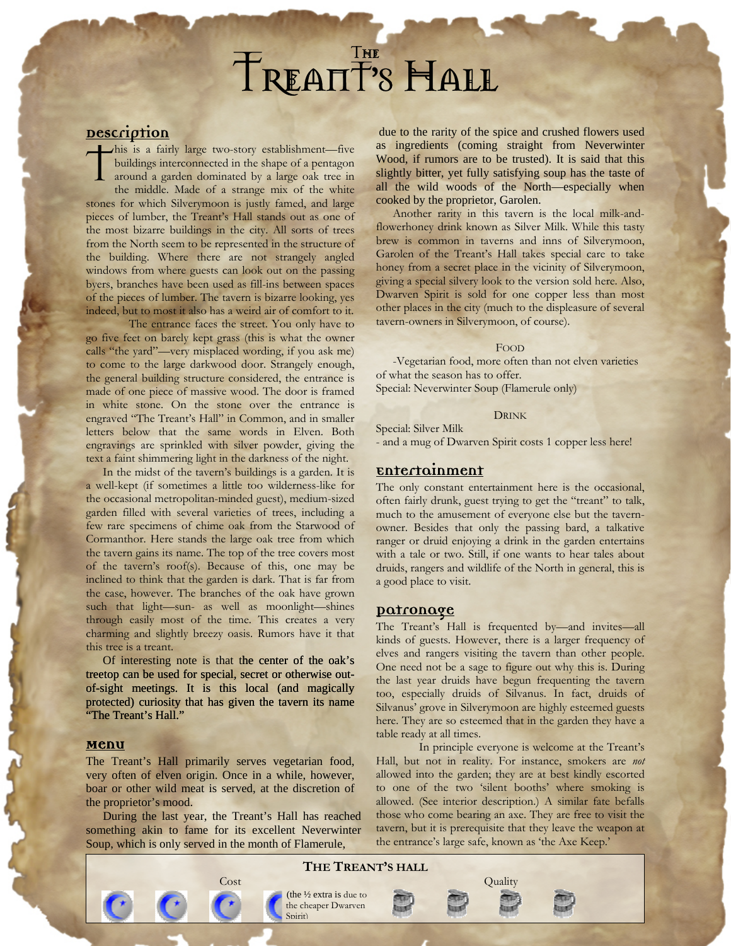## Th Treant**'**s Hall e

## **Description**

his is a fairly large two-story establishment—five buildings interconnected in the shape of a pentagon around a garden dominated by a large oak tree in the middle. Made of a strange mix of the white stones for which Silverymoon is justly famed, and large pieces of lumber, the Treant's Hall stands out as one of the most bizarre buildings in the city. All sorts of trees from the North seem to be represented in the structure of the building. Where there are not strangely angled windows from where guests can look out on the passing byers, branches have been used as fill-ins between spaces of the pieces of lumber. The tavern is bizarre looking, yes indeed, but to most it also has a weird air of comfort to it. T

The entrance faces the street. You only have to go five feet on barely kept grass (this is what the owner calls "the yard"—very misplaced wording, if you ask me) to come to the large darkwood door. Strangely enough, the general building structure considered, the entrance is made of one piece of massive wood. The door is framed in white stone. On the stone over the entrance is engraved "The Treant's Hall" in Common, and in smaller letters below that the same words in Elven. Both engravings are sprinkled with silver powder, giving the text a faint shimmering light in the darkness of the night.

In the midst of the tavern's buildings is a garden. It is a well-kept (if sometimes a little too wilderness-like for the occasional metropolitan-minded guest), medium-sized garden filled with several varieties of trees, including a few rare specimens of chime oak from the Starwood of Cormanthor. Here stands the large oak tree from which the tavern gains its name. The top of the tree covers most of the tavern's roof(s). Because of this, one may be inclined to think that the garden is dark. That is far from the case, however. The branches of the oak have grown such that light—sun- as well as moonlight—shines through easily most of the time. This creates a very charming and slightly breezy oasis. Rumors have it that this tree is a treant.

Of interesting note is that the center of the oak's treetop can be used for special, secret or otherwise outof-sight meetings. It is this local (and magically protected) curiosity that has given the tavern its name "The Treant's Hall."

#### **Menu**

The Treant's Hall primarily serves vegetarian food, very often of elven origin. Once in a while, however, boar or other wild meat is served, at the discretion of the proprietor's mood.

During the last year, the Treant's Hall has reached something akin to fame for its excellent Neverwinter Soup, which is only served in the month of Flamerule,

due to the rarity of the spice and crushed flowers used as ingredients (coming straight from Neverwinter Wood, if rumors are to be trusted). It is said that this slightly bitter, yet fully satisfying soup has the taste of all the wild woods of the North—especially when cooked by the proprietor, Garolen.

Another rarity in this tavern is the local milk-andflowerhoney drink known as Silver Milk. While this tasty brew is common in taverns and inns of Silverymoon, Garolen of the Treant's Hall takes special care to take honey from a secret place in the vicinity of Silverymoon, giving a special silvery look to the version sold here. Also, Dwarven Spirit is sold for one copper less than most other places in the city (much to the displeasure of several tavern-owners in Silverymoon, of course).

#### FOOD

-Vegetarian food, more often than not elven varieties of what the season has to offer. Special: Neverwinter Soup (Flamerule only)

#### DRINK

Special: Silver Milk - and a mug of Dwarven Spirit costs 1 copper less here!

### **Entertainment**

The only constant entertainment here is the occasional, often fairly drunk, guest trying to get the "treant" to talk, much to the amusement of everyone else but the tavernowner. Besides that only the passing bard, a talkative ranger or druid enjoying a drink in the garden entertains with a tale or two. Still, if one wants to hear tales about druids, rangers and wildlife of the North in general, this is a good place to visit.

#### **Patronage**

The Treant's Hall is frequented by—and invites—all kinds of guests. However, there is a larger frequency of elves and rangers visiting the tavern than other people. One need not be a sage to figure out why this is. During the last year druids have begun frequenting the tavern too, especially druids of Silvanus. In fact, druids of Silvanus' grove in Silverymoon are highly esteemed guests here. They are so esteemed that in the garden they have a table ready at all times.

In principle everyone is welcome at the Treant's Hall, but not in reality. For instance, smokers are *not* allowed into the garden; they are at best kindly escorted to one of the two 'silent booths' where smoking is allowed. (See interior description.) A similar fate befalls those who come bearing an axe. They are free to visit the tavern, but it is prerequisite that they leave the weapon at the entrance's large safe, known as 'the Axe Keep.'

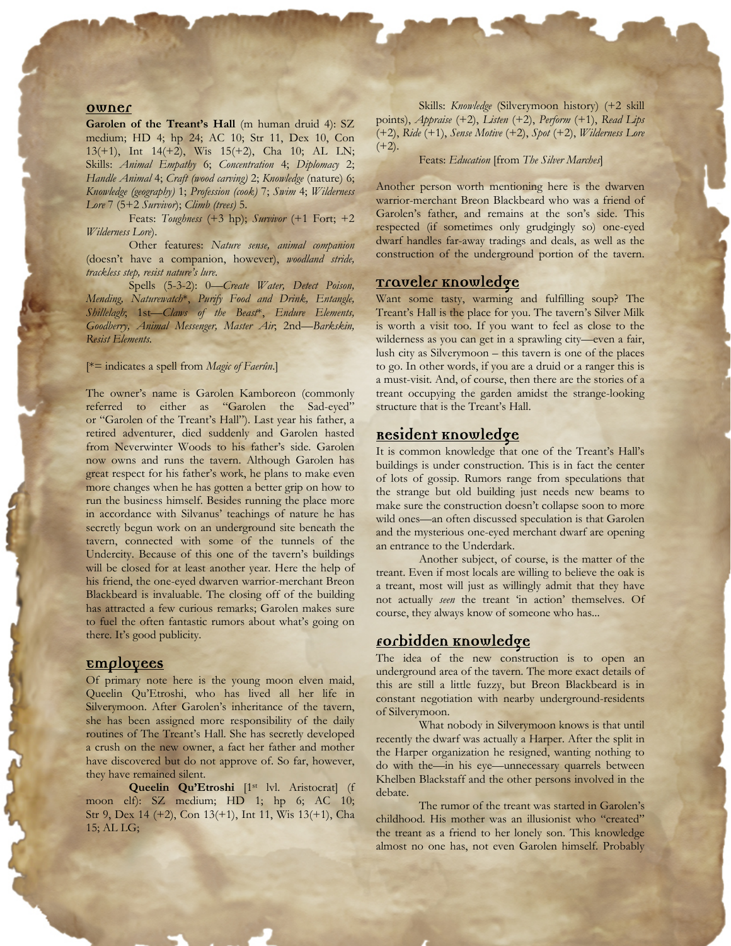#### **Owner**

Garolen of the Treant's Hall (m human druid 4): SZ medium; HD 4; hp 24; AC 10; Str 11, Dex 10, Con 13(+1), Int 14(+2), Wis 15(+2), Cha 10; AL LN; Skills: *Animal Empathy* 6; *Concentration* 4; *Diplomacy* 2; *Handle Animal* 4; *Craft (wood carving)* 2; *Knowledge* (nature) 6; *Knowledge (geography)* 1; *Profession (cook)* 7; *Swim* 4; *Wilderness Lore* 7 (5+2 *Survivor*); *Climb (trees)* 5.

Feats: *Toughness* (+3 hp); *Survivor* (+1 Fort; +2 *Wilderness Lore*).

Other features: *Nature sense, animal companion* (doesn't have a companion, however), *woodland stride, trackless step, resist nature's lure*.

Spells (5-3-2): 0—*Create Water, Detect Poison, Mending, Naturewatch*\*, *Purify Food and Drink, Entangle, Shillelagh*; 1st—*Claws of the Beast*\*, *Endure Elements, Goodberry, Animal Messenger, Master Air*; 2nd—*Barkskin, Resist Elements.* 

#### [\*= indicates a spell from *Magic of Faerûn*.]

The owner's name is Garolen Kamboreon (commonly referred to either as "Garolen the Sad-eyed" or "Garolen of the Treant's Hall"). Last year his father, a retired adventurer, died suddenly and Garolen hasted from Neverwinter Woods to his father's side. Garolen now owns and runs the tavern. Although Garolen has great respect for his father's work, he plans to make even more changes when he has gotten a better grip on how to run the business himself. Besides running the place more in accordance with Silvanus' teachings of nature he has secretly begun work on an underground site beneath the tavern, connected with some of the tunnels of the Undercity. Because of this one of the tavern's buildings will be closed for at least another year. Here the help of his friend, the one-eyed dwarven warrior-merchant Breon Blackbeard is invaluable. The closing off of the building has attracted a few curious remarks; Garolen makes sure to fuel the often fantastic rumors about what's going on there. It's good publicity.

#### **Employees**

Of primary note here is the young moon elven maid, Queelin Qu'Etroshi, who has lived all her life in Silverymoon. After Garolen's inheritance of the tavern, she has been assigned more responsibility of the daily routines of The Treant's Hall. She has secretly developed a crush on the new owner, a fact her father and mother have discovered but do not approve of. So far, however, they have remained silent.

Queelin Qu'Etroshi [1<sup>st ]</sup>vl. Aristocrat] (f moon elf): SZ medium; HD 1; hp 6; AC 10; Str 9, Dex 14 (+2), Con 13(+1), Int 11, Wis 13(+1), Cha 15; AL LG;

Skills: *Knowledge* (Silverymoon history) (+2 skill points), *Appraise* (+2), *Listen* (+2), *Perform* (+1), *Read Lips* (+2), *Ride* (+1), *Sense Motive* (+2), *Spot* (+2), *Wilderness Lore*  $(+2)$ .

Feats: *Education* [from *The Silver Marches*]

Another person worth mentioning here is the dwarven warrior-merchant Breon Blackbeard who was a friend of Garolen's father, and remains at the son's side. This respected (if sometimes only grudgingly so) one-eyed dwarf handles far-away tradings and deals, as well as the construction of the underground portion of the tavern.

## **Traveler Knowledge**

Want some tasty, warming and fulfilling soup? The Treant's Hall is the place for you. The tavern's Silver Milk is worth a visit too. If you want to feel as close to the wilderness as you can get in a sprawling city—even a fair, lush city as Silverymoon – this tavern is one of the places to go. In other words, if you are a druid or a ranger this is a must-visit. And, of course, then there are the stories of a treant occupying the garden amidst the strange-looking structure that is the Treant's Hall.

## **Resident Knowledge**

It is common knowledge that one of the Treant's Hall's buildings is under construction. This is in fact the center of lots of gossip. Rumors range from speculations that the strange but old building just needs new beams to make sure the construction doesn't collapse soon to more wild ones—an often discussed speculation is that Garolen and the mysterious one-eyed merchant dwarf are opening an entrance to the Underdark.

Another subject, of course, is the matter of the treant. Even if most locals are willing to believe the oak is a treant, most will just as willingly admit that they have not actually *seen* the treant 'in action' themselves. Of course, they always know of someone who has...

## **Forbidden Knowledge**

The idea of the new construction is to open an underground area of the tavern. The more exact details of this are still a little fuzzy, but Breon Blackbeard is in constant negotiation with nearby underground-residents of Silverymoon.

What nobody in Silverymoon knows is that until recently the dwarf was actually a Harper. After the split in the Harper organization he resigned, wanting nothing to do with the—in his eye—unnecessary quarrels between Khelben Blackstaff and the other persons involved in the debate.

The rumor of the treant was started in Garolen's childhood. His mother was an illusionist who "created" the treant as a friend to her lonely son. This knowledge almost no one has, not even Garolen himself. Probably